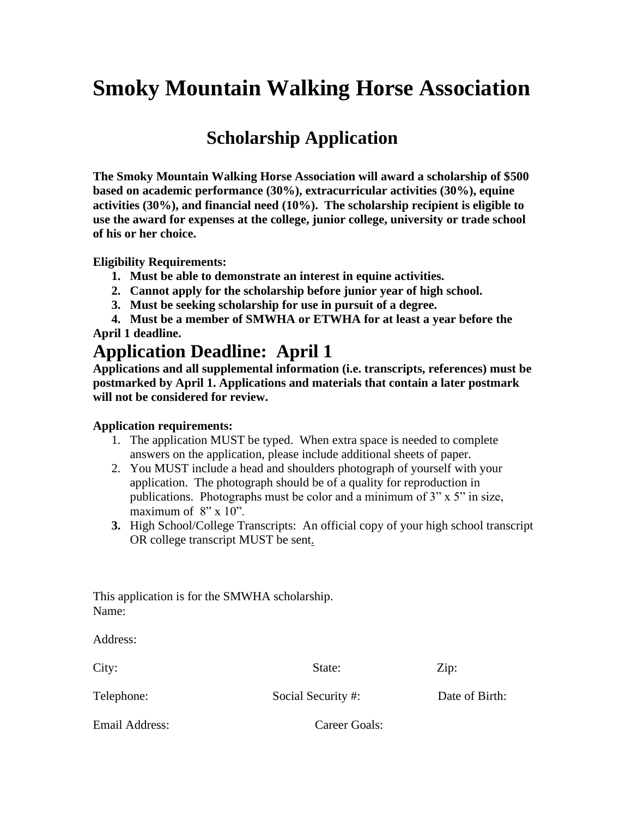# **Smoky Mountain Walking Horse Association**

# **Scholarship Application**

**The Smoky Mountain Walking Horse Association will award a scholarship of \$500 based on academic performance (30%), extracurricular activities (30%), equine activities (30%), and financial need (10%). The scholarship recipient is eligible to use the award for expenses at the college, junior college, university or trade school of his or her choice.** 

**Eligibility Requirements:**

- **1. Must be able to demonstrate an interest in equine activities.**
- **2. Cannot apply for the scholarship before junior year of high school.**
- **3. Must be seeking scholarship for use in pursuit of a degree.**

 **4. Must be a member of SMWHA or ETWHA for at least a year before the April 1 deadline.**

## **Application Deadline: April 1**

**Applications and all supplemental information (i.e. transcripts, references) must be postmarked by April 1. Applications and materials that contain a later postmark will not be considered for review.** 

### **Application requirements:**

- 1. The application MUST be typed. When extra space is needed to complete answers on the application, please include additional sheets of paper.
- 2. You MUST include a head and shoulders photograph of yourself with your application. The photograph should be of a quality for reproduction in publications. Photographs must be color and a minimum of 3" x 5" in size, maximum of  $8" \times 10"$ .
- **3.** High School/College Transcripts: An official copy of your high school transcript OR college transcript MUST be sent.

This application is for the SMWHA scholarship. Name:

| Address:       |                    |                |
|----------------|--------------------|----------------|
| City:          | State:             | Zip:           |
| Telephone:     | Social Security #: | Date of Birth: |
| Email Address: | Career Goals:      |                |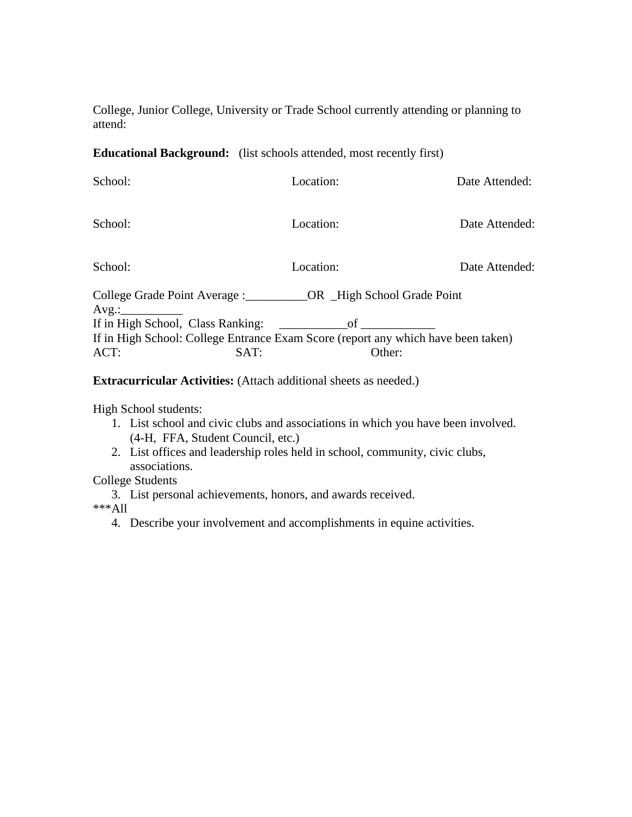College, Junior College, University or Trade School currently attending or planning to attend:

### **Educational Background:** (list schools attended, most recently first)

| School:                                                                           | Location:                                     | Date Attended: |
|-----------------------------------------------------------------------------------|-----------------------------------------------|----------------|
| School:                                                                           | Location:                                     | Date Attended: |
| School:                                                                           | Location:                                     | Date Attended: |
| College Grade Point Average : COR High School Grade Point<br>$Avg.$ :             |                                               |                |
| If in High School, Class Ranking:                                                 | $\overline{\text{of}}$ $\overline{\text{of}}$ |                |
| If in High School: College Entrance Exam Score (report any which have been taken) |                                               |                |
| ACT:<br>SAT:                                                                      | Other:                                        |                |

#### **Extracurricular Activities:** (Attach additional sheets as needed.)

High School students:

- 1. List school and civic clubs and associations in which you have been involved. (4-H, FFA, Student Council, etc.)
- 2. List offices and leadership roles held in school, community, civic clubs, associations.

College Students

3. List personal achievements, honors, and awards received.

\*\*\*All

4. Describe your involvement and accomplishments in equine activities.